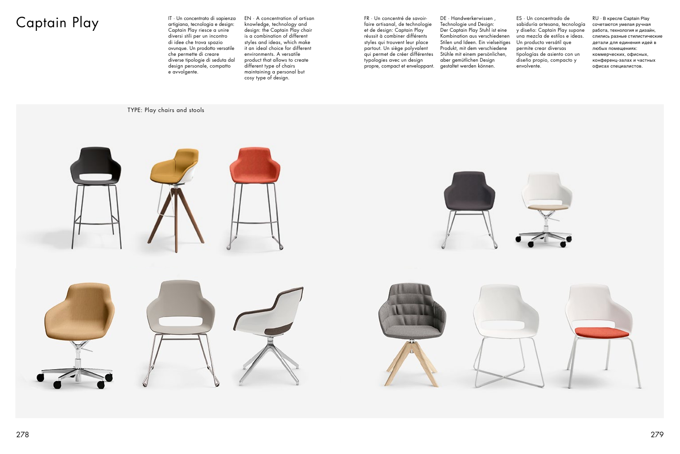## Captain Play IT · Un concentrato di sapienza

artigiana, tecnologia e design: Captain Play riesce a unire diversi stili per un incontro di idee che trova spazio ovunque. Un prodotto versatile che permette di creare diverse tipologie di seduta dal design personale, compatto e avvolgente.

EN · A concentration of artisan knowledge, technology and design: the Captain Play chair is a combination of different styles and ideas, which make it an ideal choice for different environments. A versatile product that allows to create different type of chairs maintaining a personal but cosy type of design.

TYPE: Play chairs and stools







FR · Un concentré de savoirfaire artisanal, de technologie et de design: Captain Play réussit à combiner différents styles qui trouvent leur place partout. Un siège polyvalent qui permet de créer différentes typologies avec un design propre, compact et enveloppant. DE · Handwerkerwissen , Technologie und Design: Der Captain Play Stuhl ist eine Kombination aus verschiedenen Stilen und Ideen. Ein vielseitiges Produkt, mit dem verschiedene Stühle mit einem persönlichen, aber gemütlichen Design gestaltet werden können.

ES · Un concentrado de sabiduría artesana, tecnología y diseño: Captain Play supone una mezcla de estilos e ideas. Un producto versátil que permite crear diversas tipologías de asiento con un diseño propio, compacto y envolvente.

RU · В кресле Captain Play сочетаются умелая ручная работа, технология и дизайн, слились разные стилистические детали для единения идей в любых помещениях: коммерческих, офисных, конференц-залах и частных офисах специалистов.

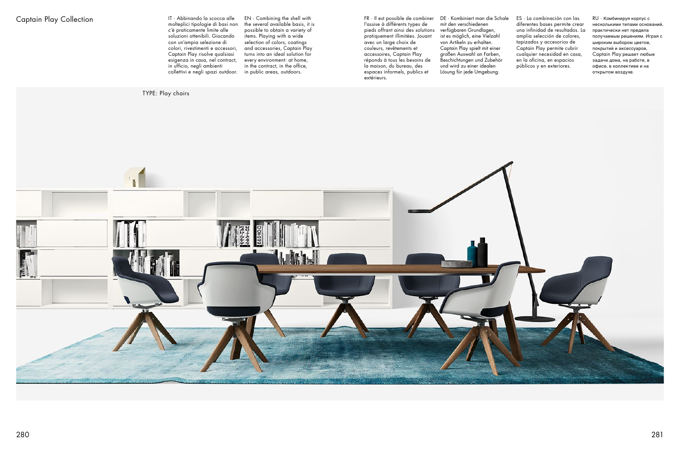molteplici tipologie di basi non c'è praticamente limite alle soluzioni ottenibili. Giocando con un'ampia selezione di colori, rivestimenti e accessori, Captain Play risolve qualsiasi esigenza in casa, nel contract, in ufficio, negli ambienti collettivi e negli spazi outdoor.

EN · Combining the shell with the several available basis, it is possible to obtain a variety of items. Playing with a wide selection of colors, coatings and accessories, Captain Play turns into an ideal solution for every environment: at home, in the contract, in the office, in public areas, outdoors.



FR · Il est possible de combiner l'assise à différents types de pieds offrant ainsi des solutions pratiquement illimitées. Jouant avec un large choix de couleurs, revêtements et accessoires, Captain Play réponds à tous les besoins de la maison, du bureau, des espaces informels, publics et extérieurs.

DE · Kombiniert man die Schale mit den verschiedenen verfügbaren Grundlagen, ist es möglich, eine Vielzahl von Artikeln zu erhalten. Captain Play spielt mit einer großen Auswahl an Farben, Beschichtungen und Zubehör und wird zu einer idealen Lösung für jede Umgebung.

ES · La combinación con las diferentes bases permite crear una infinidad de resultados. La amplia selección de colores, tapizados y accesorios de Captain Play permite cubrir cualquier necesidad en casa, en la oficina, en espacios públicos y en exteriores.

RU · Комбинируя корпус с несколькими типами оснований, практически нет предела получаемым решениям. Играя с широким выбором цветов, покрытий и аксессуаров, Captain Play решает любые задачи дома, на работе, в офисе, в коллективе и на открытом воздухе.